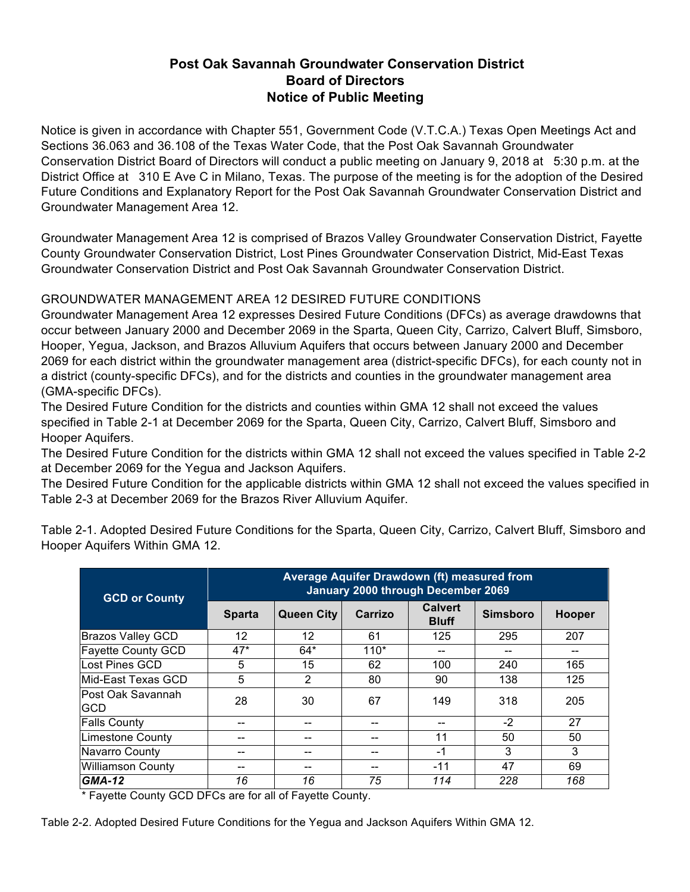## **Post Oak Savannah Groundwater Conservation District Board of Directors Notice of Public Meeting**

Notice is given in accordance with Chapter 551, Government Code (V.T.C.A.) Texas Open Meetings Act and Sections 36.063 and 36.108 of the Texas Water Code, that the Post Oak Savannah Groundwater Conservation District Board of Directors will conduct a public meeting on January 9, 2018 at 5:30 p.m. at the District Office at 310 E Ave C in Milano, Texas. The purpose of the meeting is for the adoption of the Desired Future Conditions and Explanatory Report for the Post Oak Savannah Groundwater Conservation District and Groundwater Management Area 12.

Groundwater Management Area 12 is comprised of Brazos Valley Groundwater Conservation District, Fayette County Groundwater Conservation District, Lost Pines Groundwater Conservation District, Mid-East Texas Groundwater Conservation District and Post Oak Savannah Groundwater Conservation District.

## GROUNDWATER MANAGEMENT AREA 12 DESIRED FUTURE CONDITIONS

Groundwater Management Area 12 expresses Desired Future Conditions (DFCs) as average drawdowns that occur between January 2000 and December 2069 in the Sparta, Queen City, Carrizo, Calvert Bluff, Simsboro, Hooper, Yegua, Jackson, and Brazos Alluvium Aquifers that occurs between January 2000 and December 2069 for each district within the groundwater management area (district-specific DFCs), for each county not in a district (county-specific DFCs), and for the districts and counties in the groundwater management area (GMA-specific DFCs).

The Desired Future Condition for the districts and counties within GMA 12 shall not exceed the values specified in Table 2-1 at December 2069 for the Sparta, Queen City, Carrizo, Calvert Bluff, Simsboro and Hooper Aquifers.

The Desired Future Condition for the districts within GMA 12 shall not exceed the values specified in Table 2-2 at December 2069 for the Yegua and Jackson Aquifers.

The Desired Future Condition for the applicable districts within GMA 12 shall not exceed the values specified in Table 2-3 at December 2069 for the Brazos River Alluvium Aquifer.

| <b>GCD or County</b>      | Average Aquifer Drawdown (ft) measured from<br><b>January 2000 through December 2069</b> |                   |         |                                |                 |        |  |
|---------------------------|------------------------------------------------------------------------------------------|-------------------|---------|--------------------------------|-----------------|--------|--|
|                           | <b>Sparta</b>                                                                            | <b>Queen City</b> | Carrizo | <b>Calvert</b><br><b>Bluff</b> | <b>Simsboro</b> | Hooper |  |
| Brazos Valley GCD         | 12                                                                                       | $12 \overline{ }$ | 61      | 125                            | 295             | 207    |  |
| <b>Fayette County GCD</b> | $47*$                                                                                    | $64*$             | $110*$  | --                             | --              | --     |  |
| lLost Pines GCD           | 5                                                                                        | 15                | 62      | 100                            | 240             | 165    |  |
| Mid-East Texas GCD        | 5                                                                                        | 2                 | 80      | 90                             | 138             | 125    |  |
| lPost Oak Savannah<br>GCD | 28                                                                                       | 30                | 67      | 149                            | 318             | 205    |  |
| <b>Falls County</b>       |                                                                                          | --                |         | --                             | $-2$            | 27     |  |
| <b>Limestone County</b>   |                                                                                          | --                |         | 11                             | 50              | 50     |  |
| Navarro County            |                                                                                          | --                |         | -1                             | 3               | 3      |  |
| <b>Williamson County</b>  |                                                                                          | --                |         | $-11$                          | 47              | 69     |  |
| <b>GMA-12</b>             | 16                                                                                       | 16                | 75      | 114                            | 228             | 168    |  |

Table 2-1. Adopted Desired Future Conditions for the Sparta, Queen City, Carrizo, Calvert Bluff, Simsboro and Hooper Aquifers Within GMA 12.

\* Fayette County GCD DFCs are for all of Fayette County.

Table 2-2. Adopted Desired Future Conditions for the Yegua and Jackson Aquifers Within GMA 12.